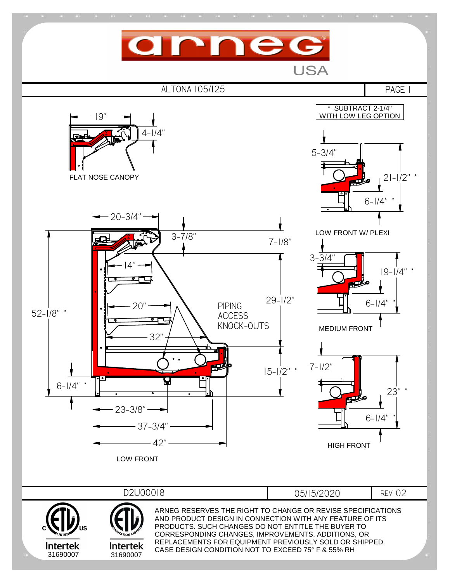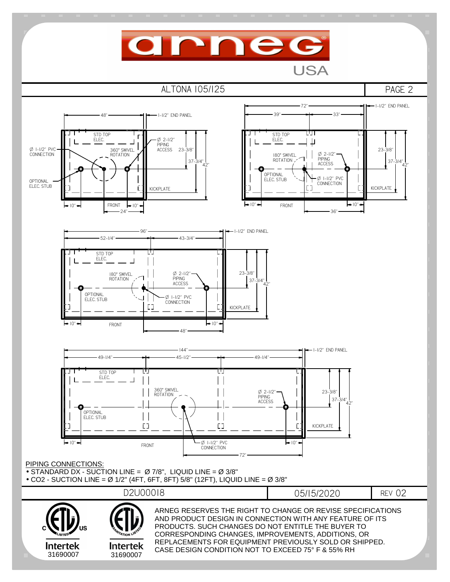